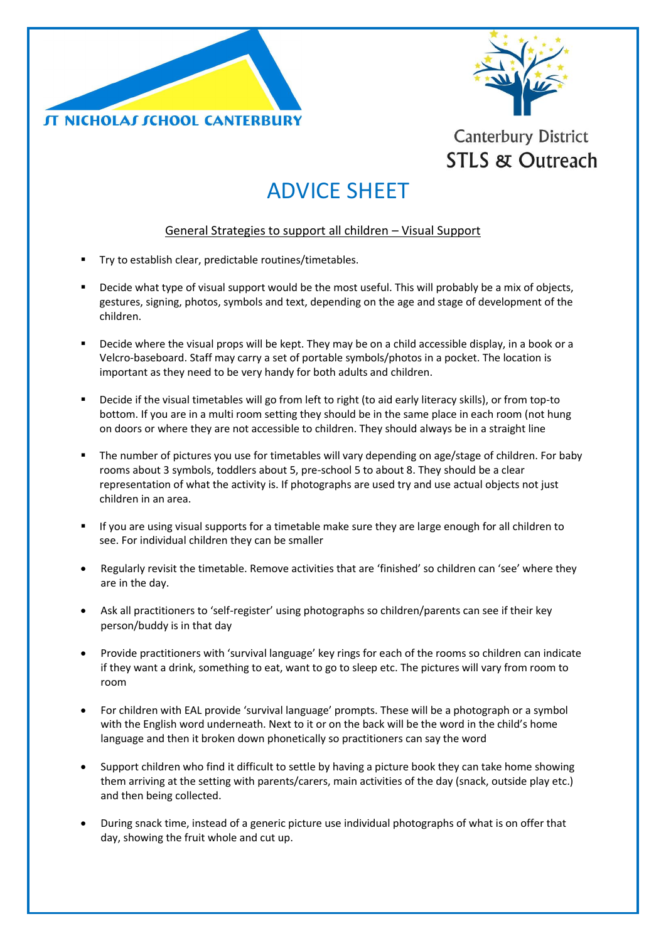



## **Canterbury District STLS & Outreach**

## ADVICE SHEET

## General Strategies to support all children – Visual Support

- Try to establish clear, predictable routines/timetables.
- Decide what type of visual support would be the most useful. This will probably be a mix of objects, gestures, signing, photos, symbols and text, depending on the age and stage of development of the children.
- Decide where the visual props will be kept. They may be on a child accessible display, in a book or a Velcro-baseboard. Staff may carry a set of portable symbols/photos in a pocket. The location is important as they need to be very handy for both adults and children.
- Decide if the visual timetables will go from left to right (to aid early literacy skills), or from top-to bottom. If you are in a multi room setting they should be in the same place in each room (not hung on doors or where they are not accessible to children. They should always be in a straight line
- The number of pictures you use for timetables will vary depending on age/stage of children. For baby rooms about 3 symbols, toddlers about 5, pre-school 5 to about 8. They should be a clear representation of what the activity is. If photographs are used try and use actual objects not just children in an area.
- If you are using visual supports for a timetable make sure they are large enough for all children to see. For individual children they can be smaller
- Regularly revisit the timetable. Remove activities that are 'finished' so children can 'see' where they are in the day.
- Ask all practitioners to 'self-register' using photographs so children/parents can see if their key person/buddy is in that day
- Provide practitioners with 'survival language' key rings for each of the rooms so children can indicate if they want a drink, something to eat, want to go to sleep etc. The pictures will vary from room to room
- For children with EAL provide 'survival language' prompts. These will be a photograph or a symbol with the English word underneath. Next to it or on the back will be the word in the child's home language and then it broken down phonetically so practitioners can say the word
- Support children who find it difficult to settle by having a picture book they can take home showing them arriving at the setting with parents/carers, main activities of the day (snack, outside play etc.) and then being collected.
- During snack time, instead of a generic picture use individual photographs of what is on offer that day, showing the fruit whole and cut up.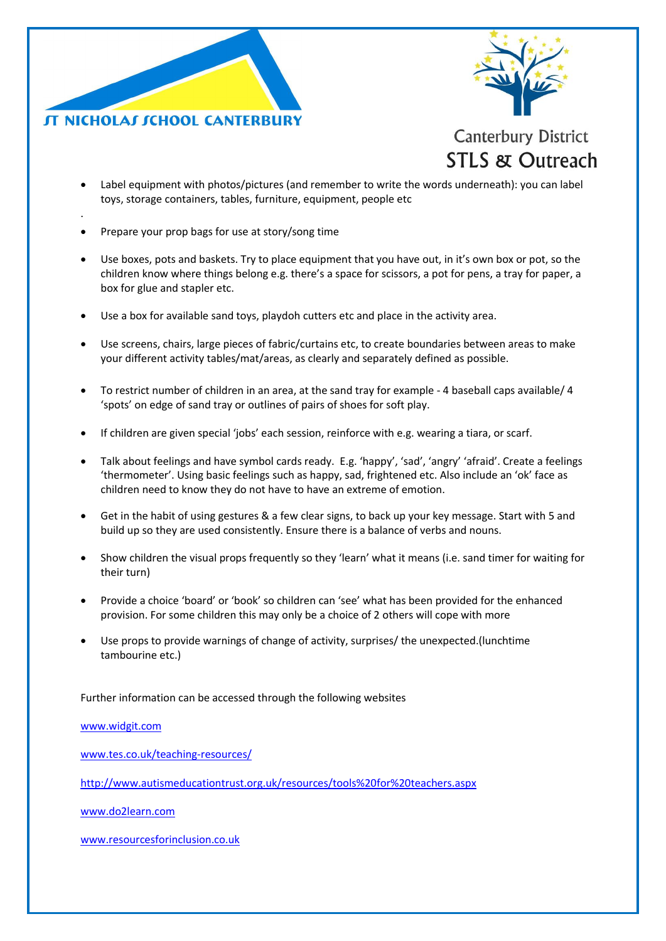

.



- Label equipment with photos/pictures (and remember to write the words underneath): you can label toys, storage containers, tables, furniture, equipment, people etc
- Prepare your prop bags for use at story/song time
- Use boxes, pots and baskets. Try to place equipment that you have out, in it's own box or pot, so the children know where things belong e.g. there's a space for scissors, a pot for pens, a tray for paper, a box for glue and stapler etc.
- Use a box for available sand toys, playdoh cutters etc and place in the activity area.
- Use screens, chairs, large pieces of fabric/curtains etc, to create boundaries between areas to make your different activity tables/mat/areas, as clearly and separately defined as possible.
- To restrict number of children in an area, at the sand tray for example 4 baseball caps available/ 4 'spots' on edge of sand tray or outlines of pairs of shoes for soft play.
- If children are given special 'jobs' each session, reinforce with e.g. wearing a tiara, or scarf.
- Talk about feelings and have symbol cards ready. E.g. 'happy', 'sad', 'angry' 'afraid'. Create a feelings 'thermometer'. Using basic feelings such as happy, sad, frightened etc. Also include an 'ok' face as children need to know they do not have to have an extreme of emotion.
- Get in the habit of using gestures & a few clear signs, to back up your key message. Start with 5 and build up so they are used consistently. Ensure there is a balance of verbs and nouns.
- Show children the visual props frequently so they 'learn' what it means (i.e. sand timer for waiting for their turn)
- Provide a choice 'board' or 'book' so children can 'see' what has been provided for the enhanced provision. For some children this may only be a choice of 2 others will cope with more
- Use props to provide warnings of change of activity, surprises/ the unexpected.(lunchtime tambourine etc.)

Further information can be accessed through the following websites

[www.widgit.com](http://www.widgit.com/)

[www.tes.co.uk/teaching-resources/](http://www.tes.co.uk/teaching-resources/)

<http://www.autismeducationtrust.org.uk/resources/tools%20for%20teachers.aspx>

[www.do2learn.com](http://www.do2learn.com/)

[www.resourcesforinclusion.co.uk](http://www.resourcesforinclusion.co.uk/)